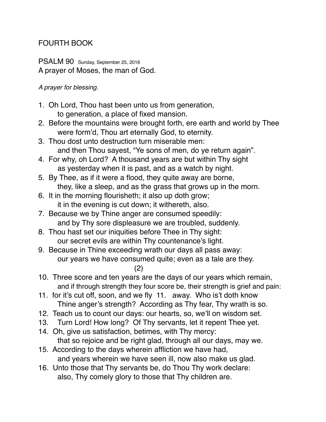# FOURTH BOOK

PSALM 90 Sunday, September 25, 2016 A prayer of Moses, the man of God.

#### *A prayer for blessing.*

- 1. Oh Lord, Thou hast been unto us from generation, to generation, a place of fixed mansion.
- 2. Before the mountains were brought forth, ere earth and world by Thee were form'd, Thou art eternally God, to eternity.
- 3. Thou dost unto destruction turn miserable men: and then Thou sayest, "Ye sons of men, do ye return again".
- 4. For why, oh Lord? A thousand years are but within Thy sight as yesterday when it is past, and as a watch by night.
- 5. By Thee, as if it were a flood, they quite away are borne, they, like a sleep, and as the grass that grows up in the morn.
- 6. It in the morning flourisheth; it also up doth grow; it in the evening is cut down; it withereth, also.
- 7. Because we by Thine anger are consumed speedily: and by Thy sore displeasure we are troubled, suddenly.
- 8. Thou hast set our iniquities before Thee in Thy sight: our secret evils are within Thy countenance's light.
- 9. Because in Thine exceeding wrath our days all pass away: our years we have consumed quite; even as a tale are they.
	- (2)
- 10. Three score and ten years are the days of our years which remain, and if through strength they four score be, their strength is grief and pain:
- 11. for it's cut off, soon, and we fly 11. away. Who is't doth know Thine anger's strength? According as Thy fear, Thy wrath is so.
- 12. Teach us to count our days: our hearts, so, we'll on wisdom set.
- 13. Turn Lord! How long? Of Thy servants, let it repent Thee yet.
- 14. Oh, give us satisfaction, betimes, with Thy mercy: that so rejoice and be right glad, through all our days, may we.
- 15. According to the days wherein affliction we have had, and years wherein we have seen ill, now also make us glad.
- 16. Unto those that Thy servants be, do Thou Thy work declare: also, Thy comely glory to those that Thy children are.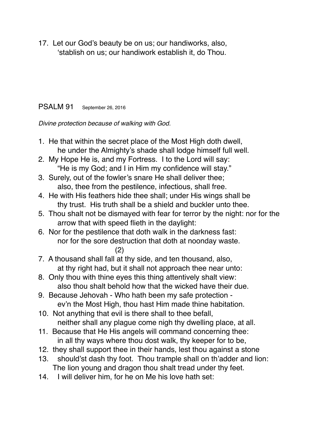17. Let our God's beauty be on us; our handiworks, also, 'stablish on us; our handiwork establish it, do Thou.

### PSALM 91 September 26, 2016

*Divine protection because of walking with God.*

- 1. He that within the secret place of the Most High doth dwell, he under the Almighty's shade shall lodge himself full well.
- 2. My Hope He is, and my Fortress. I to the Lord will say: "He is my God; and I in Him my confidence will stay."
- 3. Surely, out of the fowler's snare He shall deliver thee; also, thee from the pestilence, infectious, shall free.
- 4. He with His feathers hide thee shall; under His wings shall be thy trust. His truth shall be a shield and buckler unto thee.
- 5. Thou shalt not be dismayed with fear for terror by the night: nor for the arrow that with speed flieth in the daylight:
- 6. Nor for the pestilence that doth walk in the darkness fast: nor for the sore destruction that doth at noonday waste.

(2)

- 7. A thousand shall fall at thy side, and ten thousand, also, at thy right had, but it shall not approach thee near unto:
- 8. Only thou with thine eyes this thing attentively shalt view: also thou shalt behold how that the wicked have their due.
- 9. Because Jehovah Who hath been my safe protection ev'n the Most High, thou hast Him made thine habitation.
- 10. Not anything that evil is there shall to thee befall, neither shall any plague come nigh thy dwelling place, at all.
- 11. Because that He His angels will command concerning thee: in all thy ways where thou dost walk, thy keeper for to be,
- 12. they shall support thee in their hands, lest thou against a stone
- 13. should'st dash thy foot. Thou trample shall on th'adder and lion: The lion young and dragon thou shalt tread under thy feet.
- 14. I will deliver him, for he on Me his love hath set: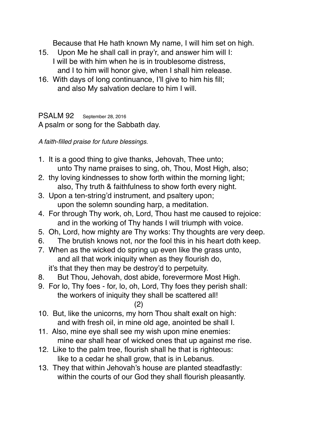Because that He hath known My name, I will him set on high.

- 15. Upon Me he shall call in pray'r, and answer him will I: I will be with him when he is in troublesome distress, and I to him will honor give, when I shall him release.
- 16. With days of long continuance, I'll give to him his fill; and also My salvation declare to him I will.

PSALM 92 September 28, 2016 A psalm or song for the Sabbath day.

*A faith-filled praise for future blessings.*

- 1. It is a good thing to give thanks, Jehovah, Thee unto; unto Thy name praises to sing, oh, Thou, Most High, also;
- 2. thy loving kindnesses to show forth within the morning light; also, Thy truth & faithfulness to show forth every night.
- 3. Upon a ten-string'd instrument, and psaltery upon; upon the solemn sounding harp, a meditation.
- 4. For through Thy work, oh, Lord, Thou hast me caused to rejoice: and in the working of Thy hands I will triumph with voice.
- 5. Oh, Lord, how mighty are Thy works: Thy thoughts are very deep.
- 6. The brutish knows not, nor the fool this in his heart doth keep.
- 7. When as the wicked do spring up even like the grass unto, and all that work iniquity when as they flourish do, it's that they then may be destroy'd to perpetuity.
- 8. But Thou, Jehovah, dost abide, forevermore Most High.
- 9. For lo, Thy foes for, lo, oh, Lord, Thy foes they perish shall: the workers of iniquity they shall be scattered all!
	- (2)
- 10. But, like the unicorns, my horn Thou shalt exalt on high: and with fresh oil, in mine old age, anointed be shall I.
- 11. Also, mine eye shall see my wish upon mine enemies: mine ear shall hear of wicked ones that up against me rise.
- 12. Like to the palm tree, flourish shall he that is righteous: like to a cedar he shall grow, that is in Lebanus.
- 13. They that within Jehovah's house are planted steadfastly: within the courts of our God they shall flourish pleasantly.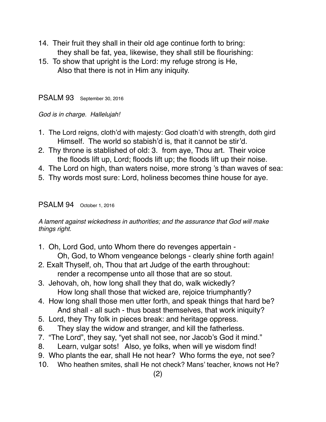- 14. Their fruit they shall in their old age continue forth to bring: they shall be fat, yea, likewise, they shall still be flourishing:
- 15. To show that upright is the Lord: my refuge strong is He, Also that there is not in Him any iniquity.

PSALM 93 September 30, 2016

*God is in charge. Hallelujah!*

- 1. The Lord reigns, cloth'd with majesty: God cloath'd with strength, doth gird Himself. The world so stabish'd is, that it cannot be stir'd.
- 2. Thy throne is stablished of old: 3. from aye, Thou art. Their voice the floods lift up, Lord; floods lift up; the floods lift up their noise.
- 4. The Lord on high, than waters noise, more strong 's than waves of sea:
- 5. Thy words most sure: Lord, holiness becomes thine house for aye.

#### PSALM 94 October 1, 2016

*A lament against wickedness in authorities; and the assurance that God will make things right.*

- 1. Oh, Lord God, unto Whom there do revenges appertain Oh, God, to Whom vengeance belongs - clearly shine forth again!
- 2. Exalt Thyself, oh, Thou that art Judge of the earth throughout: render a recompense unto all those that are so stout.
- 3. Jehovah, oh, how long shall they that do, walk wickedly? How long shall those that wicked are, rejoice triumphantly?
- 4. How long shall those men utter forth, and speak things that hard be? And shall - all such - thus boast themselves, that work iniquity?
- 5. Lord, they Thy folk in pieces break: and heritage oppress.
- 6. They slay the widow and stranger, and kill the fatherless.
- 7. "The Lord", they say, "yet shall not see, nor Jacob's God it mind."
- 8. Learn, vulgar sots! Also, ye folks, when will ye wisdom find!
- 9. Who plants the ear, shall He not hear? Who forms the eye, not see?
- 10. Who heathen smites, shall He not check? Mans' teacher, knows not He?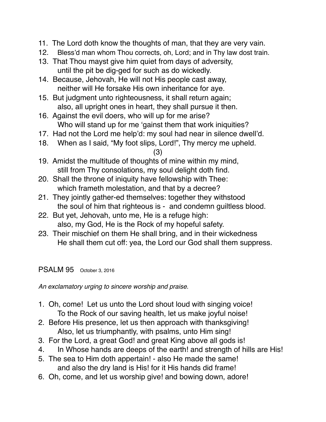- 11. The Lord doth know the thoughts of man, that they are very vain.
- 12. Bless'd man whom Thou corrects, oh, Lord; and in Thy law dost train.
- 13. That Thou mayst give him quiet from days of adversity, until the pit be dig-ged for such as do wickedly.
- 14. Because, Jehovah, He will not His people cast away, neither will He forsake His own inheritance for aye.
- 15. But judgment unto righteousness, it shall return again; also, all upright ones in heart, they shall pursue it then.
- 16. Against the evil doers, who will up for me arise? Who will stand up for me 'gainst them that work iniquities?
- 17. Had not the Lord me help'd: my soul had near in silence dwell'd.
- 18. When as I said, "My foot slips, Lord!", Thy mercy me upheld.

### (3)

- 19. Amidst the multitude of thoughts of mine within my mind, still from Thy consolations, my soul delight doth find.
- 20. Shall the throne of iniquity have fellowship with Thee: which frameth molestation, and that by a decree?
- 21. They jointly gather-ed themselves: together they withstood the soul of him that righteous is - and condemn guiltless blood.
- 22. But yet, Jehovah, unto me, He is a refuge high: also, my God, He is the Rock of my hopeful safety.
- 23. Their mischief on them He shall bring, and in their wickedness He shall them cut off: yea, the Lord our God shall them suppress.

## PSALM 95 October 3, 2016

*An exclamatory urging to sincere worship and praise.*

- 1. Oh, come! Let us unto the Lord shout loud with singing voice! To the Rock of our saving health, let us make joyful noise!
- 2. Before His presence, let us then approach with thanksgiving! Also, let us triumphantly, with psalms, unto Him sing!
- 3. For the Lord, a great God! and great King above all gods is!
- 4. In Whose hands are deeps of the earth! and strength of hills are His!
- 5. The sea to Him doth appertain! also He made the same! and also the dry land is His! for it His hands did frame!
- 6. Oh, come, and let us worship give! and bowing down, adore!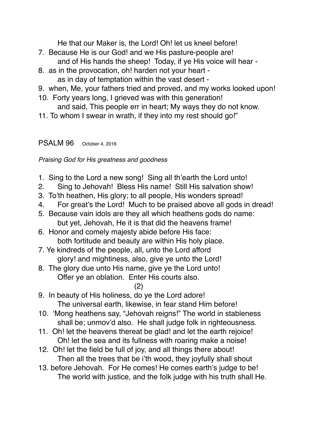He that our Maker is, the Lord! Oh! let us kneel before!

- 7. Because He is our God! and we His pasture-people are! and of His hands the sheep! Today, if ye His voice will hear -
- 8. as in the provocation, oh! harden not your heart as in day of temptation within the vast desert -
- 9. when, Me, your fathers tried and proved, and my works looked upon!
- 10. Forty years long, I grieved was with this generation! and said, This people err in heart; My ways they do not know.
- 11. To whom I swear in wrath, if they into my rest should go!"

# PSALM 96 October 4, 2016

*Praising God for His greatness and goodness*

- 1. Sing to the Lord a new song! Sing all th'earth the Lord unto!
- 2. Sing to Jehovah! Bless His name! Still His salvation show!
- 3. To'th heathen, His glory; to all people, His wonders spread!
- 4. For great's the Lord! Much to be praised above all gods in dread!
- 5. Because vain idols are they all which heathens gods do name: but yet, Jehovah, He it is that did the heavens frame!
- 6. Honor and comely majesty abide before His face: both fortitude and beauty are within His holy place.
- 7. Ye kindreds of the people, all, unto the Lord afford glory! and mightiness, also, give ye unto the Lord!
- 8. The glory due unto His name, give ye the Lord unto! Offer ye an oblation. Enter His courts also.

(2)

- 9. In beauty of His holiness, do ye the Lord adore! The universal earth, likewise, in fear stand Him before!
- 10. 'Mong heathens say, "Jehovah reigns!" The world in stableness shall be; unmov'd also. He shall judge folk in righteousness.
- 11. Oh! let the heavens thereat be glad! and let the earth rejoice! Oh! let the sea and its fullness with roaring make a noise!
- 12. Oh! let the field be full of joy, and all things there about! Then all the trees that be i'th wood, they joyfully shall shout
- 13. before Jehovah. For He comes! He comes earth's judge to be! The world with justice, and the folk judge with his truth shall He.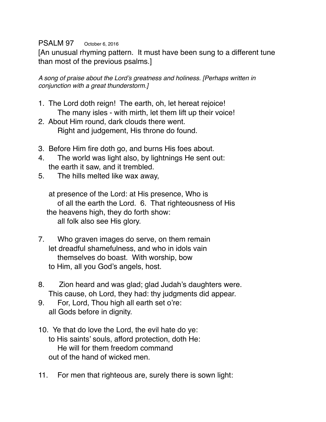### PSALM 97 October 6, 2016

[An unusual rhyming pattern. It must have been sung to a different tune than most of the previous psalms.]

*A song of praise about the Lord's greatness and holiness. [Perhaps written in conjunction with a great thunderstorm.]*

- 1. The Lord doth reign! The earth, oh, let hereat rejoice! The many isles - with mirth, let them lift up their voice!
- 2. About Him round, dark clouds there went. Right and judgement, His throne do found.
- 3. Before Him fire doth go, and burns His foes about.
- 4. The world was light also, by lightnings He sent out: the earth it saw, and it trembled.
- 5. The hills melted like wax away,

 at presence of the Lord: at His presence, Who is of all the earth the Lord. 6. That righteousness of His the heavens high, they do forth show: all folk also see His glory.

- 7. Who graven images do serve, on them remain let dreadful shamefulness, and who in idols vain themselves do boast. With worship, bow to Him, all you God's angels, host.
- 8. Zion heard and was glad; glad Judah's daughters were. This cause, oh Lord, they had: thy judgments did appear.
- 9. For, Lord, Thou high all earth set o're: all Gods before in dignity.
- 10. Ye that do love the Lord, the evil hate do ye: to His saints' souls, afford protection, doth He: He will for them freedom command out of the hand of wicked men.
- 11. For men that righteous are, surely there is sown light: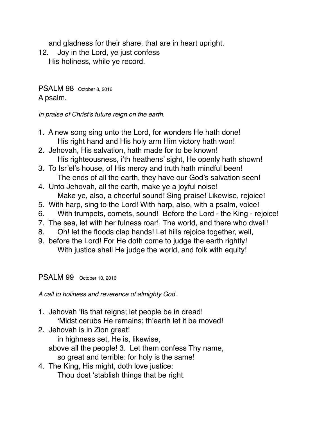and gladness for their share, that are in heart upright.

12. Joy in the Lord, ye just confess His holiness, while ye record.

PSALM 98 October 8, 2016 A psalm.

*In praise of Christ's future reign on the earth.*

- 1. A new song sing unto the Lord, for wonders He hath done! His right hand and His holy arm Him victory hath won!
- 2. Jehovah, His salvation, hath made for to be known! His righteousness, i'th heathens' sight, He openly hath shown!
- 3. To Isr'el's house, of His mercy and truth hath mindful been! The ends of all the earth, they have our God's salvation seen!
- 4. Unto Jehovah, all the earth, make ye a joyful noise! Make ye, also, a cheerful sound! Sing praise! Likewise, rejoice!
- 5. With harp, sing to the Lord! With harp, also, with a psalm, voice!
- 6. With trumpets, cornets, sound! Before the Lord the King rejoice!
- 7. The sea, let with her fulness roar! The world, and there who dwell!
- 8. Oh! let the floods clap hands! Let hills rejoice together, well,
- 9. before the Lord! For He doth come to judge the earth rightly! With justice shall He judge the world, and folk with equity!

PSALM 99 October 10, 2016

*A call to holiness and reverence of almighty God.*

- 1. Jehovah 'tis that reigns; let people be in dread! 'Midst cerubs He remains; th'earth let it be moved!
- 2. Jehovah is in Zion great! in highness set, He is, likewise, above all the people! 3. Let them confess Thy name, so great and terrible: for holy is the same!
- 4. The King, His might, doth love justice: Thou dost 'stablish things that be right.